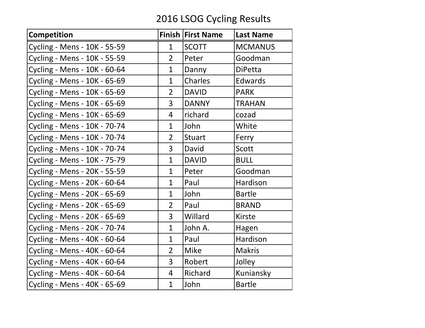## 2016 LSOG Cycling Results

| Competition                  |                | Finish First Name | <b>Last Name</b> |
|------------------------------|----------------|-------------------|------------------|
| Cycling - Mens - 10K - 55-59 | $\mathbf 1$    | <b>SCOTT</b>      | <b>MCMANUS</b>   |
| Cycling - Mens - 10K - 55-59 | $\overline{2}$ | Peter             | Goodman          |
| Cycling - Mens - 10K - 60-64 | $\mathbf{1}$   | Danny             | <b>DiPetta</b>   |
| Cycling - Mens - 10K - 65-69 | $\mathbf{1}$   | <b>Charles</b>    | Edwards          |
| Cycling - Mens - 10K - 65-69 | $\overline{2}$ | <b>DAVID</b>      | <b>PARK</b>      |
| Cycling - Mens - 10K - 65-69 | 3              | <b>DANNY</b>      | <b>TRAHAN</b>    |
| Cycling - Mens - 10K - 65-69 | 4              | richard           | cozad            |
| Cycling - Mens - 10K - 70-74 | $\mathbf{1}$   | John              | White            |
| Cycling - Mens - 10K - 70-74 | $\overline{2}$ | <b>Stuart</b>     | Ferry            |
| Cycling - Mens - 10K - 70-74 | $\overline{3}$ | David             | <b>Scott</b>     |
| Cycling - Mens - 10K - 75-79 | $\mathbf{1}$   | <b>DAVID</b>      | <b>BULL</b>      |
| Cycling - Mens - 20K - 55-59 | $\mathbf{1}$   | Peter             | Goodman          |
| Cycling - Mens - 20K - 60-64 | $\mathbf{1}$   | Paul              | Hardison         |
| Cycling - Mens - 20K - 65-69 | $\mathbf{1}$   | John              | <b>Bartle</b>    |
| Cycling - Mens - 20K - 65-69 | $\overline{2}$ | Paul              | <b>BRAND</b>     |
| Cycling - Mens - 20K - 65-69 | 3              | Willard           | <b>Kirste</b>    |
| Cycling - Mens - 20K - 70-74 | $\mathbf{1}$   | John A.           | Hagen            |
| Cycling - Mens - 40K - 60-64 | $\mathbf{1}$   | Paul              | Hardison         |
| Cycling - Mens - 40K - 60-64 | $\overline{2}$ | <b>Mike</b>       | <b>Makris</b>    |
| Cycling - Mens - 40K - 60-64 | 3              | Robert            | Jolley           |
| Cycling - Mens - 40K - 60-64 | 4              | Richard           | Kuniansky        |
| Cycling - Mens - 40K - 65-69 | $\mathbf{1}$   | John              | <b>Bartle</b>    |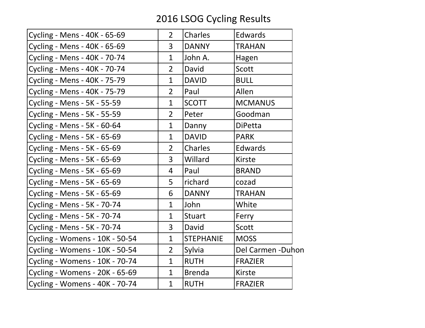## 2016 LSOG Cycling Results

| Cycling - Mens - 40K - 65-69   | $\overline{2}$ | <b>Charles</b>   | <b>Edwards</b>     |
|--------------------------------|----------------|------------------|--------------------|
| Cycling - Mens - 40K - 65-69   | 3              | <b>DANNY</b>     | <b>TRAHAN</b>      |
| Cycling - Mens - 40K - 70-74   | $\mathbf 1$    | John A.          | Hagen              |
| Cycling - Mens - 40K - 70-74   | $\overline{2}$ | David            | <b>Scott</b>       |
| Cycling - Mens - 40K - 75-79   | $\mathbf{1}$   | <b>DAVID</b>     | <b>BULL</b>        |
| Cycling - Mens - 40K - 75-79   | $\overline{2}$ | Paul             | Allen              |
| Cycling - Mens - 5K - 55-59    | $\mathbf{1}$   | <b>SCOTT</b>     | <b>MCMANUS</b>     |
| Cycling - Mens - 5K - 55-59    | $\overline{2}$ | Peter            | Goodman            |
| Cycling - Mens - 5K - 60-64    | $\mathbf{1}$   | Danny            | <b>DiPetta</b>     |
| Cycling - Mens - 5K - 65-69    | $\mathbf{1}$   | <b>DAVID</b>     | <b>PARK</b>        |
| Cycling - Mens - 5K - 65-69    | $\overline{2}$ | <b>Charles</b>   | <b>Edwards</b>     |
| Cycling - Mens - 5K - 65-69    | 3              | Willard          | <b>Kirste</b>      |
| Cycling - Mens - 5K - 65-69    | 4              | Paul             | <b>BRAND</b>       |
| Cycling - Mens - 5K - 65-69    | 5              | richard          | cozad              |
| Cycling - Mens - 5K - 65-69    | 6              | <b>DANNY</b>     | <b>TRAHAN</b>      |
| Cycling - Mens - 5K - 70-74    | $\mathbf{1}$   | John             | White              |
| Cycling - Mens - 5K - 70-74    | $\mathbf{1}$   | <b>Stuart</b>    | Ferry              |
| Cycling - Mens - 5K - 70-74    | 3              | David            | <b>Scott</b>       |
| Cycling - Womens - 10K - 50-54 | $\mathbf{1}$   | <b>STEPHANIE</b> | <b>MOSS</b>        |
| Cycling - Womens - 10K - 50-54 | $\overline{2}$ | Sylvia           | Del Carmen - Duhon |
| Cycling - Womens - 10K - 70-74 | $\mathbf{1}$   | <b>RUTH</b>      | <b>FRAZIER</b>     |
| Cycling - Womens - 20K - 65-69 | $\mathbf{1}$   | <b>Brenda</b>    | <b>Kirste</b>      |
| Cycling - Womens - 40K - 70-74 | $\mathbf{1}$   | <b>RUTH</b>      | <b>FRAZIER</b>     |
|                                |                |                  |                    |